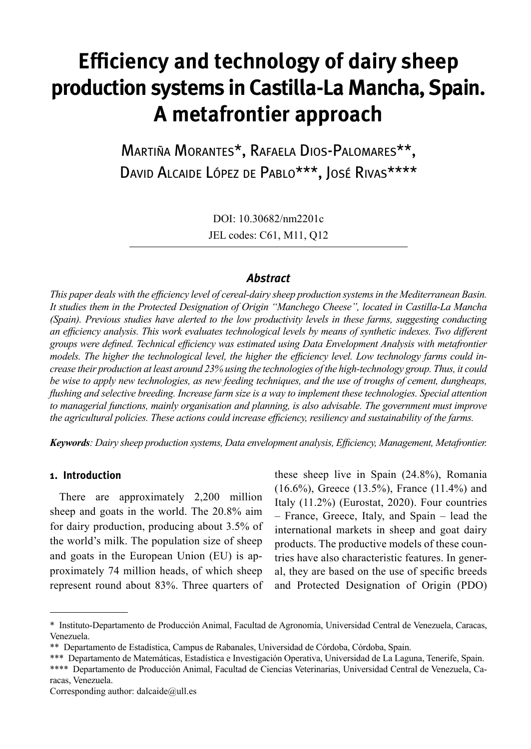# **Efficiency and technology of dairy sheep production systems in Castilla-La Mancha, Spain. A metafrontier approach**

Martiña Morantes\*, Rafaela Dios-Palomares\*\*, DAVID ALCAIDE LÓPEZ DE PABLO<sup>\*\*\*</sup>, JOSÉ RIVAS<sup>\*\*\*\*</sup>

> DOI: 10.30682/nm2201c JEL codes: C61, M11, Q12

# *Abstract*

*This paper deals with the efficiency level of cereal-dairy sheep production systems in the Mediterranean Basin. It studies them in the Protected Designation of Origin "Manchego Cheese", located in Castilla-La Mancha (Spain). Previous studies have alerted to the low productivity levels in these farms, suggesting conducting an efficiency analysis. This work evaluates technological levels by means of synthetic indexes. Two different groups were defined. Technical efficiency was estimated using Data Envelopment Analysis with metafrontier models. The higher the technological level, the higher the efficiency level. Low technology farms could increase their production at least around 23% using the technologies of the high-technology group. Thus, it could be wise to apply new technologies, as new feeding techniques, and the use of troughs of cement, dungheaps, flushing and selective breeding. Increase farm size is a way to implement these technologies. Special attention to managerial functions, mainly organisation and planning, is also advisable. The government must improve the agricultural policies. These actions could increase efficiency, resiliency and sustainability of the farms.*

*Keywords: Dairy sheep production systems, Data envelopment analysis, Efficiency, Management, Metafrontier.*

#### **1. Introduction**

There are approximately 2,200 million sheep and goats in the world. The 20.8% aim for dairy production, producing about 3.5% of the world's milk. The population size of sheep and goats in the European Union (EU) is approximately 74 million heads, of which sheep represent round about 83%. Three quarters of these sheep live in Spain (24.8%), Romania (16.6%), Greece (13.5%), France (11.4%) and Italy (11.2%) (Eurostat, 2020). Four countries – France, Greece, Italy, and Spain – lead the international markets in sheep and goat dairy products. The productive models of these countries have also characteristic features. In general, they are based on the use of specific breeds and Protected Designation of Origin (PDO)

<sup>\*</sup> Instituto-Departamento de Producción Animal, Facultad de Agronomía, Universidad Central de Venezuela, Caracas, Venezuela.

<sup>\*\*</sup> Departamento de Estadística, Campus de Rabanales, Universidad de Córdoba, Córdoba, Spain.

<sup>\*\*\*</sup> Departamento de Matemáticas, Estadística e Investigación Operativa, Universidad de La Laguna, Tenerife, Spain.

<sup>\*\*\*\*</sup> Departamento de Producción Animal, Facultad de Ciencias Veterinarias, Universidad Central de Venezuela, Caracas, Venezuela.

Corresponding author:  $dalcaide@ull.$ es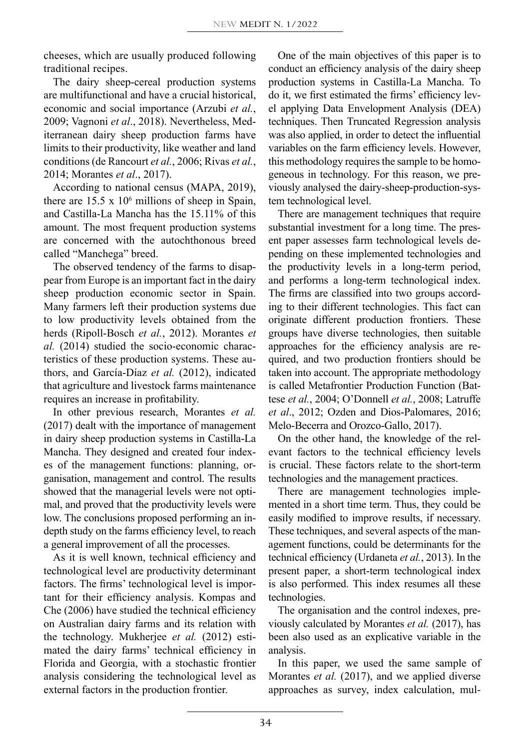cheeses, which are usually produced following traditional recipes.

The dairy sheep-cereal production systems are multifunctional and have a crucial historical, economic and social importance (Arzubi *et al.*, 2009; Vagnoni *et al*., 2018). Nevertheless, Mediterranean dairy sheep production farms have limits to their productivity, like weather and land conditions (de Rancourt *et al.*, 2006; Rivas *et al.*, 2014; Morantes *et al*., 2017).

According to national census (MAPA, 2019), there are  $15.5 \times 10^6$  millions of sheep in Spain, and Castilla-La Mancha has the 15.11% of this amount. The most frequent production systems are concerned with the autochthonous breed called "Manchega" breed.

The observed tendency of the farms to disappear from Europe is an important fact in the dairy sheep production economic sector in Spain. Many farmers left their production systems due to low productivity levels obtained from the herds (Ripoll-Bosch *et al.*, 2012). Morantes *et al.* (2014) studied the socio-economic characteristics of these production systems. These authors, and García-Díaz *et al.* (2012), indicated that agriculture and livestock farms maintenance requires an increase in profitability.

In other previous research, Morantes *et al.* (2017) dealt with the importance of management in dairy sheep production systems in Castilla-La Mancha. They designed and created four indexes of the management functions: planning, organisation, management and control. The results showed that the managerial levels were not optimal, and proved that the productivity levels were low. The conclusions proposed performing an indepth study on the farms efficiency level, to reach a general improvement of all the processes.

As it is well known, technical efficiency and technological level are productivity determinant factors. The firms' technological level is important for their efficiency analysis. Kompas and Che (2006) have studied the technical efficiency on Australian dairy farms and its relation with the technology. Mukherjee *et al.* (2012) estimated the dairy farms' technical efficiency in Florida and Georgia, with a stochastic frontier analysis considering the technological level as external factors in the production frontier.

One of the main objectives of this paper is to conduct an efficiency analysis of the dairy sheep production systems in Castilla-La Mancha. To do it, we first estimated the firms' efficiency level applying Data Envelopment Analysis (DEA) techniques. Then Truncated Regression analysis was also applied, in order to detect the influential variables on the farm efficiency levels. However, this methodology requires the sample to be homogeneous in technology. For this reason, we previously analysed the dairy-sheep-production-system technological level.

There are management techniques that require substantial investment for a long time. The present paper assesses farm technological levels depending on these implemented technologies and the productivity levels in a long-term period, and performs a long-term technological index. The firms are classified into two groups according to their different technologies. This fact can originate different production frontiers. These groups have diverse technologies, then suitable approaches for the efficiency analysis are required, and two production frontiers should be taken into account. The appropriate methodology is called Metafrontier Production Function (Battese *et al.*, 2004; O'Donnell *et al.*, 2008; Latruffe *et al*., 2012; Ozden and Dios-Palomares, 2016; Melo-Becerra and Orozco-Gallo, 2017).

On the other hand, the knowledge of the relevant factors to the technical efficiency levels is crucial. These factors relate to the short-term technologies and the management practices.

There are management technologies implemented in a short time term. Thus, they could be easily modified to improve results, if necessary. These techniques, and several aspects of the management functions, could be determinants for the technical efficiency (Urdaneta *et al.*, 2013). In the present paper, a short-term technological index is also performed. This index resumes all these technologies.

The organisation and the control indexes, previously calculated by Morantes *et al.* (2017), has been also used as an explicative variable in the analysis.

In this paper, we used the same sample of Morantes *et al.* (2017), and we applied diverse approaches as survey, index calculation, mul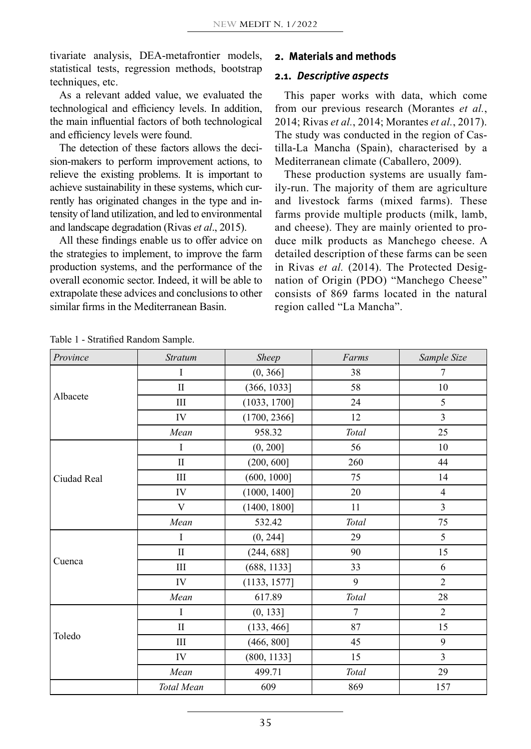tivariate analysis, DEA-metafrontier models, statistical tests, regression methods, bootstrap techniques, etc.

As a relevant added value, we evaluated the technological and efficiency levels. In addition, the main influential factors of both technological and efficiency levels were found.

The detection of these factors allows the decision-makers to perform improvement actions, to relieve the existing problems. It is important to achieve sustainability in these systems, which currently has originated changes in the type and intensity of land utilization, and led to environmental and landscape degradation (Rivas *et al*., 2015).

All these findings enable us to offer advice on the strategies to implement, to improve the farm production systems, and the performance of the overall economic sector. Indeed, it will be able to extrapolate these advices and conclusions to other similar firms in the Mediterranean Basin.

#### **2. Materials and methods**

#### **2.1.** *Descriptive aspects*

This paper works with data, which come from our previous research (Morantes *et al.*, 2014; Rivas *et al.*, 2014; Morantes *et al.*, 2017). The study was conducted in the region of Castilla-La Mancha (Spain), characterised by a Mediterranean climate (Caballero, 2009).

These production systems are usually family-run. The majority of them are agriculture and livestock farms (mixed farms). These farms provide multiple products (milk, lamb, and cheese). They are mainly oriented to produce milk products as Manchego cheese. A detailed description of these farms can be seen in Rivas *et al.* (2014). The Protected Designation of Origin (PDO) "Manchego Cheese" consists of 869 farms located in the natural region called "La Mancha".

| Province    | <b>Stratum</b> | Sheep        | Farms          | Sample Size    |
|-------------|----------------|--------------|----------------|----------------|
|             | I              | (0, 366]     | 38             | 7              |
|             | $\mathbf{I}$   | (366, 1033]  | 58             | 10             |
| Albacete    | Ш              | (1033, 1700] | 24             | 5              |
|             | IV             | (1700, 2366] | 12             | $\overline{3}$ |
|             | Mean           | 958.32       | Total          | 25             |
|             | I              | (0, 200]     | 56             | 10             |
|             | $\mathbf{I}$   | (200, 600]   | 260            | 44             |
| Ciudad Real | Ш              | (600, 1000]  | 75             | 14             |
|             | IV             | (1000, 1400] | 20             | $\overline{4}$ |
|             | V              | (1400, 1800] | 11             | $\overline{3}$ |
|             | Mean           | 532.42       | Total          | 75             |
|             | I              | (0, 244]     | 29             | 5              |
|             | $\mathbf{I}$   | (244, 688]   | 90             | 15             |
| Cuenca      | Ш              | (688, 1133]  | 33             | 6              |
|             | IV             | (1133, 1577] | 9              | $\overline{2}$ |
|             | Mean           | 617.89       | Total          | $28\,$         |
|             | $\bf I$        | (0, 133]     | $\overline{7}$ | $\overline{2}$ |
|             | $\mathbf{I}$   | (133, 466]   | 87             | 15             |
| Toledo      | Ш              | (466, 800]   | 45             | 9              |
|             | IV             | (800, 1133]  | 15             | 3              |
|             | Mean           | 499.71       | Total          | 29             |
|             | Total Mean     | 609          | 869            | 157            |

Table 1 - Stratified Random Sample.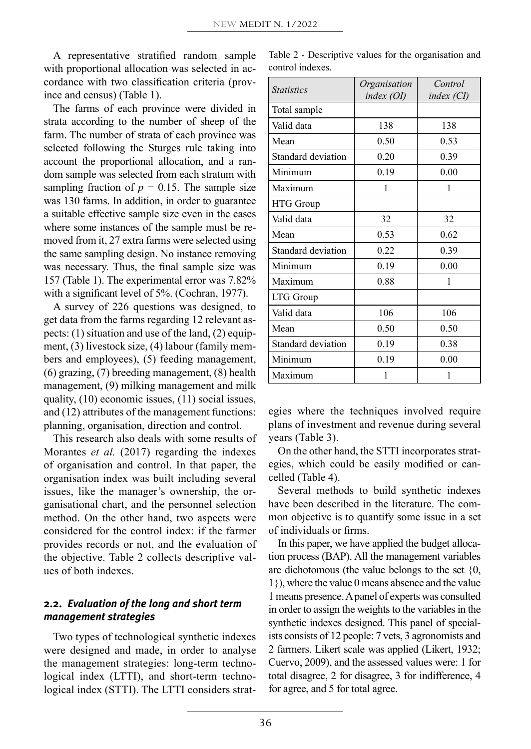A representative stratified random sample with proportional allocation was selected in accordance with two classification criteria (province and census) (Table 1).

The farms of each province were divided in strata according to the number of sheep of the farm. The number of strata of each province was selected following the Sturges rule taking into account the proportional allocation, and a random sample was selected from each stratum with sampling fraction of  $p = 0.15$ . The sample size was 130 farms. In addition, in order to guarantee a suitable effective sample size even in the cases where some instances of the sample must be removed from it, 27 extra farms were selected using the same sampling design. No instance removing was necessary. Thus, the final sample size was 157 (Table 1). The experimental error was 7.82% with a significant level of 5%. (Cochran, 1977).

A survey of 226 questions was designed, to get data from the farms regarding 12 relevant aspects: (1) situation and use of the land, (2) equipment, (3) livestock size, (4) labour (family members and employees), (5) feeding management, (6) grazing, (7) breeding management, (8) health management, (9) milking management and milk quality, (10) economic issues, (11) social issues, and (12) attributes of the management functions: planning, organisation, direction and control.

This research also deals with some results of Morantes *et al.* (2017) regarding the indexes of organisation and control. In that paper, the organisation index was built including several issues, like the manager's ownership, the organisational chart, and the personnel selection method. On the other hand, two aspects were considered for the control index: if the farmer provides records or not, and the evaluation of the objective. Table 2 collects descriptive values of both indexes.

# **2.2.** *Evaluation of the long and short term management strategies*

Two types of technological synthetic indexes were designed and made, in order to analyse the management strategies: long-term technological index (LTTI), and short-term technological index (STTI). The LTTI considers strat-

Table 2 - Descriptive values for the organisation and control indexes.

| <i>Statistics</i>  | Organisation | Control    |  |
|--------------------|--------------|------------|--|
|                    | index (OI)   | index (CI) |  |
| Total sample       |              |            |  |
| Valid data         | 138          | 138        |  |
| Mean               | 0.50         | 0.53       |  |
| Standard deviation | 0.20         | 0.39       |  |
| Minimum            | 0.19         | 0.00       |  |
| Maximum            | 1            | 1          |  |
| <b>HTG</b> Group   |              |            |  |
| Valid data         | 32           | 32         |  |
| Mean               | 0.53         | 0.62       |  |
| Standard deviation | 0.22         | 0.39       |  |
| Minimum            | 0.19         | 0.00       |  |
| Maximum            | 0.88         | 1          |  |
| LTG Group          |              |            |  |
| Valid data         | 106          | 106        |  |
| Mean               | 0.50         | 0.50       |  |
| Standard deviation | 0.19         | 0.38       |  |
| Minimum            | 0.19         | 0.00       |  |
| Maximum            |              | 1          |  |

egies where the techniques involved require plans of investment and revenue during several years (Table 3).

On the other hand, the STTI incorporates strategies, which could be easily modified or cancelled (Table 4).

Several methods to build synthetic indexes have been described in the literature. The common objective is to quantify some issue in a set of individuals or firms.

In this paper, we have applied the budget allocation process (BAP). All the management variables are dichotomous (the value belongs to the set {0, 1}), where the value 0 means absence and the value 1 means presence. A panel of experts was consulted in order to assign the weights to the variables in the synthetic indexes designed. This panel of specialists consists of 12 people: 7 vets, 3 agronomists and 2 farmers. Likert scale was applied (Likert, 1932; Cuervo, 2009), and the assessed values were: 1 for total disagree, 2 for disagree, 3 for indifference, 4 for agree, and 5 for total agree.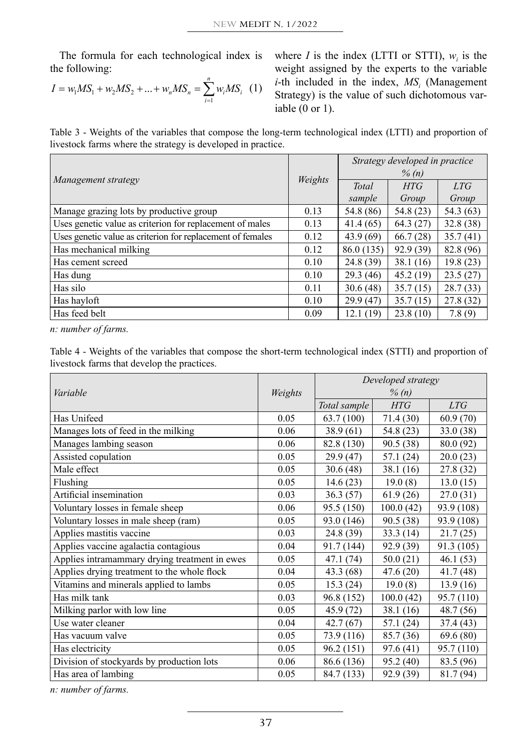The formula for each technological index is the following:

$$
I = w_1 MS_1 + w_2 MS_2 + \dots + w_n MS_n = \sum_{i=1}^{n} w_i MS_i \quad (1)
$$

where *I* is the index (LTTI or STTI),  $w_i$  is the weight assigned by the experts to the variable *i*-th included in the index,  $MS<sub>i</sub>$  (Management Strategy) is the value of such dichotomous variable (0 or 1).

Table 3 - Weights of the variables that compose the long-term technological index (LTTI) and proportion of livestock farms where the strategy is developed in practice.

|                                                            |         | Strategy developed in practice |           |           |  |
|------------------------------------------------------------|---------|--------------------------------|-----------|-----------|--|
|                                                            | Weights |                                | $\%$ (n)  |           |  |
| Management strategy                                        |         | <b>Total</b>                   | HTG       | LTG       |  |
|                                                            |         | sample                         | Group     | Group     |  |
| Manage grazing lots by productive group                    | 0.13    | 54.8 (86)                      | 54.8 (23) | 54.3 (63) |  |
| Uses genetic value as criterion for replacement of males   | 0.13    | 41.4(65)                       | 64.3(27)  | 32.8(38)  |  |
| Uses genetic value as criterion for replacement of females | 0.12    | 43.9(69)                       | 66.7(28)  | 35.7(41)  |  |
| Has mechanical milking                                     | 0.12    | 86.0 (135)                     | 92.9 (39) | 82.8 (96) |  |
| Has cement screed                                          | 0.10    | 24.8(39)                       | 38.1(16)  | 19.8 (23) |  |
| Has dung                                                   | 0.10    | 29.3(46)                       | 45.2(19)  | 23.5(27)  |  |
| Has silo                                                   | 0.11    | 30.6(48)                       | 35.7(15)  | 28.7(33)  |  |
| Has hayloft                                                | 0.10    | 29.9(47)                       | 35.7(15)  | 27.8(32)  |  |
| Has feed belt                                              | 0.09    | 12.1(19)                       | 23.8(10)  | 7.8(9)    |  |

*n: number of farms.* 

Table 4 - Weights of the variables that compose the short-term technological index (STTI) and proportion of livestock farms that develop the practices.

| Variable                                      | Weights | Developed strategy<br>$\%$ (n) |            |            |  |
|-----------------------------------------------|---------|--------------------------------|------------|------------|--|
|                                               |         | Total sample                   | <b>HTG</b> | <b>LTG</b> |  |
| Has Unifeed                                   | 0.05    | 63.7(100)                      | 71.4(30)   | 60.9(70)   |  |
| Manages lots of feed in the milking           | 0.06    | 38.9(61)                       | 54.8 (23)  | 33.0 (38)  |  |
| Manages lambing season                        | 0.06    | 82.8 (130)                     | 90.5 (38)  | 80.0 (92)  |  |
| Assisted copulation                           | 0.05    | 29.9 (47)                      | 57.1(24)   | 20.0(23)   |  |
| Male effect                                   | 0.05    | 30.6(48)                       | 38.1(16)   | 27.8 (32)  |  |
| Flushing                                      | 0.05    | 14.6(23)                       | 19.0(8)    | 13.0(15)   |  |
| Artificial insemination                       | 0.03    | 36.3(57)                       | 61.9(26)   | 27.0(31)   |  |
| Voluntary losses in female sheep              | 0.06    | 95.5 (150)                     | 100.0(42)  | 93.9 (108) |  |
| Voluntary losses in male sheep (ram)          | 0.05    | 93.0 (146)                     | 90.5 (38)  | 93.9 (108) |  |
| Applies mastitis vaccine                      | 0.03    | 24.8 (39)                      | 33.3(14)   | 21.7(25)   |  |
| Applies vaccine agalactia contagious          | 0.04    | 91.7 (144)                     | 92.9 (39)  | 91.3 (105) |  |
| Applies intramammary drying treatment in ewes | 0.05    | 47.1 (74)                      | 50.0(21)   | 46.1(53)   |  |
| Applies drying treatment to the whole flock   | 0.04    | 43.3 (68)                      | 47.6(20)   | 41.7(48)   |  |
| Vitamins and minerals applied to lambs        | 0.05    | 15.3(24)                       | 19.0(8)    | 13.9(16)   |  |
| Has milk tank                                 | 0.03    | 96.8 (152)                     | 100.0(42)  | 95.7 (110) |  |
| Milking parlor with low line                  | 0.05    | 45.9 (72)                      | 38.1(16)   | 48.7 (56)  |  |
| Use water cleaner                             | 0.04    | 42.7(67)                       | 57.1 (24)  | 37.4 (43)  |  |
| Has vacuum valve                              | 0.05    | 73.9 (116)                     | 85.7 (36)  | 69.6(80)   |  |
| Has electricity                               | 0.05    | 96.2 (151)                     | 97.6(41)   | 95.7 (110) |  |
| Division of stockyards by production lots     | 0.06    | 86.6 (136)                     | 95.2 (40)  | 83.5 (96)  |  |
| Has area of lambing                           | 0.05    | 84.7 (133)                     | 92.9 (39)  | 81.7 (94)  |  |

*n: number of farms.*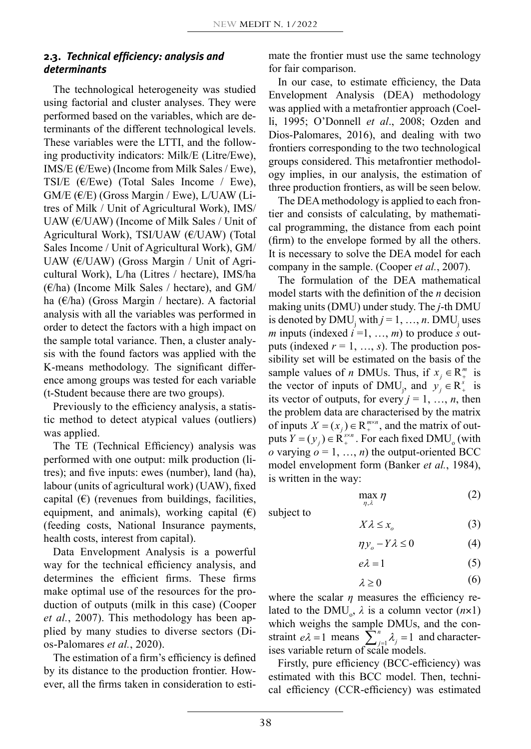## **2.3.** *Technical efficiency: analysis and determinants*

The technological heterogeneity was studied using factorial and cluster analyses. They were performed based on the variables, which are determinants of the different technological levels. These variables were the LTTI, and the following productivity indicators: Milk/E (Litre/Ewe), IMS/E ( $E$ /Ewe) (Income from Milk Sales / Ewe), TSI/E ( $\varepsilon$ /Ewe) (Total Sales Income / Ewe),  $GM/E$  ( $E/E$ ) (Gross Margin / Ewe), L/UAW (Litres of Milk / Unit of Agricultural Work), IMS/ UAW ( $\epsilon$ /UAW) (Income of Milk Sales / Unit of Agricultural Work), TSI/UAW (€/UAW) (Total Sales Income / Unit of Agricultural Work), GM/ UAW (€/UAW) (Gross Margin / Unit of Agricultural Work), L/ha (Litres / hectare), IMS/ha  $(\epsilon/\text{ha})$  (Income Milk Sales / hectare), and GM/ ha (€/ha) (Gross Margin / hectare). A factorial analysis with all the variables was performed in order to detect the factors with a high impact on the sample total variance. Then, a cluster analysis with the found factors was applied with the K-means methodology. The significant difference among groups was tested for each variable (t-Student because there are two groups).

Previously to the efficiency analysis, a statistic method to detect atypical values (outliers) was applied.

The TE (Technical Efficiency) analysis was performed with one output: milk production (litres); and five inputs: ewes (number), land (ha), labour (units of agricultural work) (UAW), fixed capital  $(\epsilon)$  (revenues from buildings, facilities, equipment, and animals), working capital  $(\epsilon)$ (feeding costs, National Insurance payments, health costs, interest from capital).

Data Envelopment Analysis is a powerful way for the technical efficiency analysis, and determines the efficient firms. These firms make optimal use of the resources for the production of outputs (milk in this case) (Cooper *et al.*, 2007). This methodology has been applied by many studies to diverse sectors (Dios-Palomares *et al.*, 2020).

The estimation of a firm's efficiency is defined by its distance to the production frontier. However, all the firms taken in consideration to estimate the frontier must use the same technology for fair comparison.

In our case, to estimate efficiency, the Data Envelopment Analysis (DEA) methodology was applied with a metafrontier approach (Coelli, 1995; O'Donnell *et al*., 2008; Ozden and Dios-Palomares, 2016), and dealing with two frontiers corresponding to the two technological groups considered. This metafrontier methodology implies, in our analysis, the estimation of three production frontiers, as will be seen below.

The DEA methodology is applied to each frontier and consists of calculating, by mathematical programming, the distance from each point (firm) to the envelope formed by all the others. It is necessary to solve the DEA model for each company in the sample. (Cooper *et al.*, 2007).

The formulation of the DEA mathematical model starts with the definition of the *n* decision making units (DMU) under study. The *j*-th DMU is denoted by  $\text{DMU}_j$  with  $j = 1, ..., n$ .  $\text{DMU}_j$  uses *m* inputs (indexed  $i = 1, ..., m$ ) to produce *s* outputs (indexed  $r = 1, \ldots, s$ ). The production possibility set will be estimated on the basis of the  $\sum_{m=1}^{\infty}$ sample values of *n* DMUs. Thus, if  $x_j \in \mathbb{R}^m_+$  is its vector of outputs, for every  $j = 1, ..., n$ , then the problem data are abaracterized by the matrix or inputs  $X = (x_j) \in \mathbb{R}_+^*$ , and the matrix or out-<br>puts  $Y = (y_j) \in \mathbb{R}_+^{s \times n}$ . For each fixed DMU<sub>o</sub> (with model envelopment form (Banker *et al.*, 1984), the vector of inputs of DMU<sub>j</sub>, and  $y_j \in R^s_+$  is the problem data are characterised by the matrix<br>of inputs  $X = (x_j) \in \mathbb{R}^{n \times n}$ , and the matrix of out-<br>puts  $Y = (y_j) \in \mathbb{R}^{3 \times n}$ . For each fixed DMU (with  $\theta$  varying  $\theta = 1, ..., n$ ) the output-oriented BCC  $\theta$  varying  $\theta = 1, ..., n$ ) the output-oriented BCC the problem data are characterised by the matrix is written in the way: **Banker** *et al.*, 1984), *IS* w *M, M, M* w Super Stenee BSS  $g \circ f = 1, ..., n$  me output-oriented BCC<br>welopment form (Banker *et al.*, 1984), *nn ii nn ii*  $\mathbb{R}^n$ *nn ii* torm ( *nn ii*

$$
\max_{\eta,\lambda}\eta\tag{2}
$$

(3)  $X\lambda \leq x_0$  $\frac{V}{V}$   $\frac{1}{V}$  $\Lambda \Lambda \geq \lambda_o$ 

$$
\eta y_o - Y \lambda \le 0 \tag{4}
$$

$$
e\lambda = 1
$$
 (5)

$$
\lambda \geq 0 \tag{6}
$$

where the scalar  $\eta$  measures the efficiency related to the DMU<sub>0</sub>,  $\lambda$  is a column vector ( $n \times 1$ ) which weighs the sample DMUs, and the constraint  $e\lambda = 1$  means  $\sum_{j=1}^{n} \lambda_j = 1$  and character*e*<sup>l</sup> =1 ises variable return of scale models.  $n \leq 0$ <br>meas  $\sum_{j=1}^{n} \lambda_j =$ 

Firstly, pure efficiency (BCC-efficiency) was<br>timeted with this BCC model. Then teshai *j j* Extend with this BCC model. Then, techni-<br>cal efficiency (CCR-efficiency) was estimated estimated with this BCC model. Then, techni-**BCC** mo

*k n n* <sup>=</sup> å

subject to ,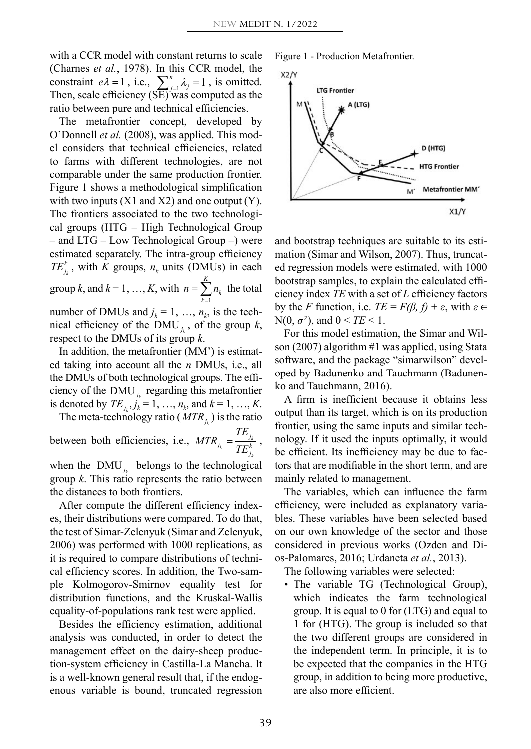with a CCR model with constant returns to scale (Charnes *et al.*, 1978). In this CCR model, the constraint  $e\lambda = 1$ , i.e.,  $\sum_{j=1}^{n} \lambda_j = 1$ , is omitted. ratio between pure and technical efficiencies. Then, scale efficiency (SE) was computed as the  $\begin{bmatrix} \text{I}^{\text{II}} & \text{I}^{\text{II}} \\ \text{II}^{\text{II}} & \text{II}^{\text{II}} \end{bmatrix}$ 

*j j*  $\lambda$  **k**  $\lambda$  **k**  $\lambda$  **c** *k k k s x m x k k s x n x k s x n x k s x n x k s x n x k s x n x x x x x x x x x x x x x x x x K n* bounder *k al.* (2006), was applied. This model considers that technical efficiencies, related to forms with different technologies are not Figure 1 shows a methodological simplification  $\overline{a}$ *k j j k MTR TE* <sup>=</sup> cal groups (HTG – High Technological Group *e*<sup>l</sup> =1 , h l h  $k = 0$  and LTG – Low Technological Group –) were *The frontiers associated to the two technologi-*1 The metanomer concept, developed by<br>O'Donnell *et al.* (2008), was applied. This mod-The metafrontier concept, developed by  $\left| \begin{array}{c} \end{array} \right|$ *k k i*  $\frac{1}{2}$  *MTR i*  $\frac{1}{2}$  *nows* a memodological simplementon with two inputs (X1 and X2) and one output (Y). The fractions associated to the two technologic comparable under the same production frontier.  $\frac{1}{2}$  and  $\frac{1}{10}$   $\frac{1}{2}$   $\frac{1}{2}$   $\frac{1}{2}$  *comp* efficiency efficiency  $\frac{1}{2}$ *k estimated separately. The mira-group encrency*  $TE_{j_k}^k$ *, with <i>K* groups,  $n_k$  units (DMUs) in each group *k*, and  $k = 1, ..., K$ , with 1 *K*  $\sum_{k=1}^{\infty}$  $n = \sum n$  $n = \sum_{k=1}^{\infty} n_k$  the total nical efficiency of the  $\text{DMU}_{j_k}$ , of the group *k*, number of DMUs and  $j_k = 1, ..., n_k$ , is the tech-<br> $j_k$  is the tech- $\frac{1}{h}$ *n n*  $= 1, ..., K$ , with respect to the DMUs of its group *k*. *X x* <sup>l</sup> £ *<sup>o</sup> n o o x*<sub>1</sub> and *x*<sup>1</sup> *e f o i f f o i f f e f i f s i f s i f i f s i f i f s i f i f s i f i f s i f i f j f j j f j j f j j j f j j*  $p \kappa$ , and  $\kappa = 1, ..., K$ , with  $n = \sum_{k=1}^K n_k$  to the set DMHs and  $i = 1, ..., n$  is the upplied we a methodological simplification  $\text{ad } k = 1$  *k* 

ed taking into account all the *n* DMUs, i.e., all<br>the DMUs of both technological groups. The effithe DMUs of both technological groups. The effi-*TE In addition, the metafrontier (MM') is estimat-<br>
<i>K* **A EXPLEMENT**  $\frac{1}{2}$  regarding this metafrontier ciency of the DMU<sub>*j<sub>k</sub>*</sub> regarding this metafrontier denoted by  $TE_{j_k}, j_k = 1, ..., n_k$ , and  $k = 1, ..., K$ .<br>The meta-technology ratio ( $MTR_{j_k}$ ) is the ratio is denoted by  $TE_{j_k}, \hat{j_k} = 1, ..., n_k$ , and  $k = 1$ ,

*k k k i encies* between both efficiencies, i.e.,  $MTR_{j_k} = \frac{TE_{j_k}}{TF^k}$  $\frac{1}{2}$  *(MTR*<sub>*j<sub>k</sub></sub>) is the ratio*  $\frac{1}{\sqrt{L}}$ *</sub>*  $j_k = \frac{I E_j}{T E_j^k}$ efficiencies, i.e.,  $MTR_{j_k} = \frac{TE_{j_k}}{TE_{j_k}^k}$ , k<br>hef

*k* when the  $\text{DMU}_{j_k}$  belongs to the technological the distances to both frontiers. group *k*. This ratio represents the ratio between

*k k k k k k k k k k k k k k k k k k k k k k k k k k k k k k k k k k k k k k j* es, their distributions were compared. To do that, After compute the different efficiency index-<br>their distributions were compared. To do that the test of Simar-Zelenyuk (Simar and Zelenyuk, 2006) was performed with 1000 replications, as it is required to compare distributions of technical efficiency scores. In addition, the Two-sample Kolmogorov-Smirnov equality test for distribution functions, and the Kruskal-Wallis equality-of-populations rank test were applied.

Besides the efficiency estimation, additional analysis was conducted, in order to detect the management effect on the dairy-sheep production-system efficiency in Castilla-La Mancha. It is a well-known general result that, if the endogenous variable is bound, truncated regression



*n*



and bootstrap techniques are suitable to its estimation (Simar and Wilson, 2007). Thus, truncated regression models were estimated, with 1000 bootstrap samples, to explain the calculated efficiency index *TE* with a set of *L* efficiency factors by the *F* function, i.e.  $TE = F(\beta, f) + \varepsilon$ , with  $\varepsilon \in$ N(0,  $\sigma^2$ ), and  $0 < TE < 1$ .

For this model estimation, the Simar and Wilson (2007) algorithm #1 was applied, using Stata software, and the package "simarwilson" developed by Badunenko and Tauchmann (Badunenko and Tauchmann, 2016).

A firm is inefficient because it obtains less output than its target, which is on its production frontier, using the same inputs and similar technology. If it used the inputs optimally, it would be efficient. Its inefficiency may be due to factors that are modifiable in the short term, and are mainly related to management.

The variables, which can influence the farm efficiency, were included as explanatory variables. These variables have been selected based on our own knowledge of the sector and those considered in previous works (Ozden and Dios-Palomares, 2016; Urdaneta *et al.*, 2013).

The following variables were selected:

• The variable TG (Technological Group), which indicates the farm technological group. It is equal to 0 for (LTG) and equal to 1 for (HTG). The group is included so that the two different groups are considered in the independent term. In principle, it is to be expected that the companies in the HTG group, in addition to being more productive, are also more efficient.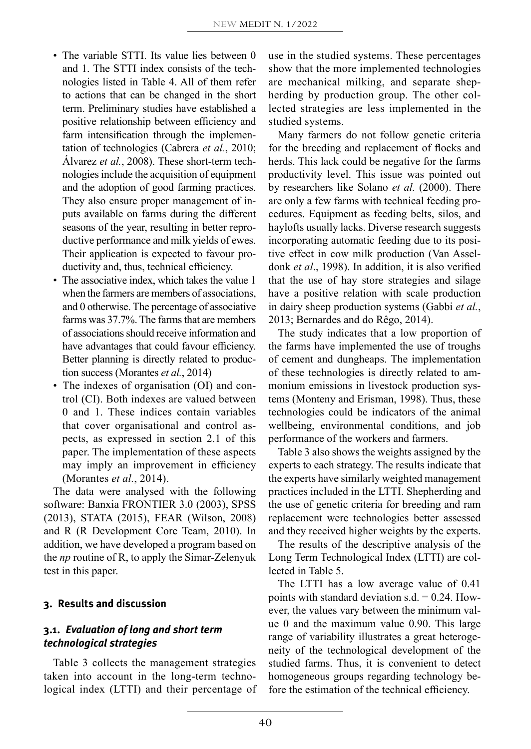- The variable STTI. Its value lies between 0 and 1. The STTI index consists of the technologies listed in Table 4. All of them refer to actions that can be changed in the short term. Preliminary studies have established a positive relationship between efficiency and farm intensification through the implementation of technologies (Cabrera *et al.*, 2010; Álvarez *et al.*, 2008). These short-term technologies include the acquisition of equipment and the adoption of good farming practices. They also ensure proper management of inputs available on farms during the different seasons of the year, resulting in better reproductive performance and milk yields of ewes. Their application is expected to favour productivity and, thus, technical efficiency.
- The associative index, which takes the value 1 when the farmers are members of associations, and 0 otherwise. The percentage of associative farms was 37.7%. The farms that are members of associations should receive information and have advantages that could favour efficiency. Better planning is directly related to production success (Morantes *et al.*, 2014)
- The indexes of organisation (OI) and control (CI). Both indexes are valued between 0 and 1. These indices contain variables that cover organisational and control aspects, as expressed in section 2.1 of this paper. The implementation of these aspects may imply an improvement in efficiency (Morantes *et al.*, 2014).

The data were analysed with the following software: Banxia FRONTIER 3.0 (2003), SPSS (2013), STATA (2015), FEAR (Wilson, 2008) and R (R Development Core Team, 2010). In addition, we have developed a program based on the *np* routine of R, to apply the Simar-Zelenyuk test in this paper.

### **3. Results and discussion**

# **3.1.** *Evaluation of long and short term technological strategies*

Table 3 collects the management strategies taken into account in the long-term technological index (LTTI) and their percentage of use in the studied systems. These percentages show that the more implemented technologies are mechanical milking, and separate shepherding by production group. The other collected strategies are less implemented in the studied systems.

Many farmers do not follow genetic criteria for the breeding and replacement of flocks and herds. This lack could be negative for the farms productivity level. This issue was pointed out by researchers like Solano *et al.* (2000). There are only a few farms with technical feeding procedures. Equipment as feeding belts, silos, and haylofts usually lacks. Diverse research suggests incorporating automatic feeding due to its positive effect in cow milk production (Van Asseldonk *et al*., 1998). In addition, it is also verified that the use of hay store strategies and silage have a positive relation with scale production in dairy sheep production systems (Gabbi *et al.*, 2013; Bernardes and do Rêgo, 2014).

The study indicates that a low proportion of the farms have implemented the use of troughs of cement and dungheaps. The implementation of these technologies is directly related to ammonium emissions in livestock production systems (Monteny and Erisman, 1998). Thus, these technologies could be indicators of the animal wellbeing, environmental conditions, and job performance of the workers and farmers.

Table 3 also shows the weights assigned by the experts to each strategy. The results indicate that the experts have similarly weighted management practices included in the LTTI. Shepherding and the use of genetic criteria for breeding and ram replacement were technologies better assessed and they received higher weights by the experts.

The results of the descriptive analysis of the Long Term Technological Index (LTTI) are collected in Table 5.

The LTTI has a low average value of 0.41 points with standard deviation s.d.  $= 0.24$ . However, the values vary between the minimum value 0 and the maximum value 0.90. This large range of variability illustrates a great heterogeneity of the technological development of the studied farms. Thus, it is convenient to detect homogeneous groups regarding technology before the estimation of the technical efficiency.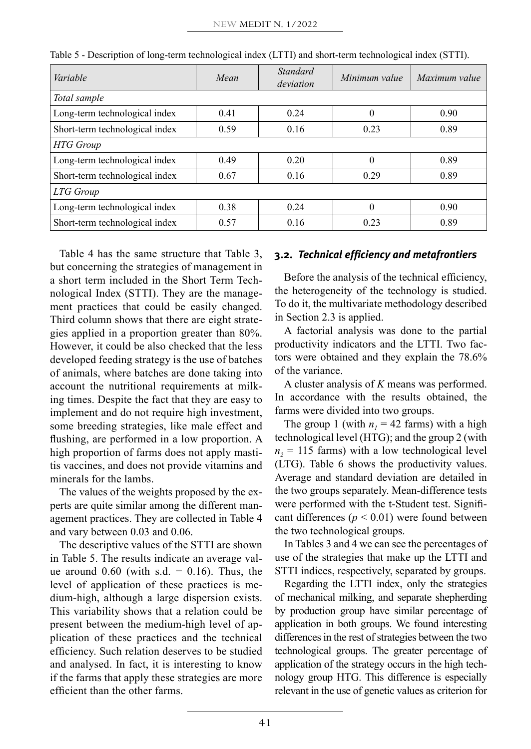| Variable                       | Mean | Standard<br>deviation | Minimum value | Maximum value |  |  |  |
|--------------------------------|------|-----------------------|---------------|---------------|--|--|--|
| Total sample                   |      |                       |               |               |  |  |  |
| Long-term technological index  | 0.41 | 0.24                  | $\theta$      | 0.90          |  |  |  |
| Short-term technological index | 0.59 | 0.16                  | 0.23          | 0.89          |  |  |  |
| <b>HTG</b> Group               |      |                       |               |               |  |  |  |
| Long-term technological index  | 0.49 | 0.20                  | $\theta$      | 0.89          |  |  |  |
| Short-term technological index | 0.67 | 0.16                  | 0.29          | 0.89          |  |  |  |
| LTG Group                      |      |                       |               |               |  |  |  |
| Long-term technological index  | 0.38 | 0.24                  | $\theta$      | 0.90          |  |  |  |
| Short-term technological index | 0.57 | 0.16                  | 0.23          | 0.89          |  |  |  |

Table 5 - Description of long-term technological index (LTTI) and short-term technological index (STTI).

Table 4 has the same structure that Table 3, but concerning the strategies of management in a short term included in the Short Term Technological Index (STTI). They are the management practices that could be easily changed. Third column shows that there are eight strategies applied in a proportion greater than 80%. However, it could be also checked that the less developed feeding strategy is the use of batches of animals, where batches are done taking into account the nutritional requirements at milking times. Despite the fact that they are easy to implement and do not require high investment, some breeding strategies, like male effect and flushing, are performed in a low proportion. A high proportion of farms does not apply mastitis vaccines, and does not provide vitamins and minerals for the lambs.

The values of the weights proposed by the experts are quite similar among the different management practices. They are collected in Table 4 and vary between 0.03 and 0.06.

The descriptive values of the STTI are shown in Table 5. The results indicate an average value around  $0.60$  (with s.d. = 0.16). Thus, the level of application of these practices is medium-high, although a large dispersion exists. This variability shows that a relation could be present between the medium-high level of application of these practices and the technical efficiency. Such relation deserves to be studied and analysed. In fact, it is interesting to know if the farms that apply these strategies are more efficient than the other farms.

#### **3.2.** *Technical efficiency and metafrontiers*

Before the analysis of the technical efficiency, the heterogeneity of the technology is studied. To do it, the multivariate methodology described in Section 2.3 is applied.

A factorial analysis was done to the partial productivity indicators and the LTTI. Two factors were obtained and they explain the 78.6% of the variance.

A cluster analysis of *K* means was performed. In accordance with the results obtained, the farms were divided into two groups.

The group 1 (with  $n_1 = 42$  farms) with a high technological level (HTG); and the group 2 (with  $n<sub>2</sub> = 115$  farms) with a low technological level (LTG). Table 6 shows the productivity values. Average and standard deviation are detailed in the two groups separately. Mean-difference tests were performed with the t-Student test. Significant differences  $(p < 0.01)$  were found between the two technological groups.

In Tables 3 and 4 we can see the percentages of use of the strategies that make up the LTTI and STTI indices, respectively, separated by groups.

Regarding the LTTI index, only the strategies of mechanical milking, and separate shepherding by production group have similar percentage of application in both groups. We found interesting differences in the rest of strategies between the two technological groups. The greater percentage of application of the strategy occurs in the high technology group HTG. This difference is especially relevant in the use of genetic values as criterion for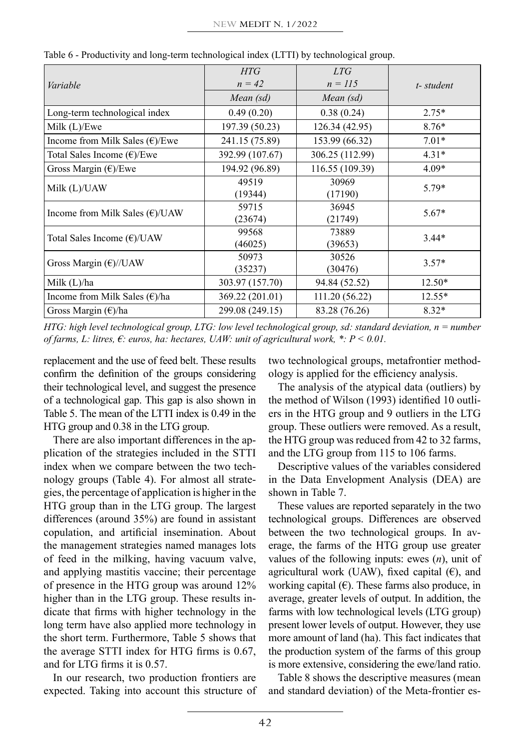| Variable                                 | <b>HTG</b><br>$n = 42$ | LTG<br>$n = 115$ | t-student |  |
|------------------------------------------|------------------------|------------------|-----------|--|
|                                          | Mean (sd)              | Mean (sd)        |           |  |
| Long-term technological index            | 0.49(0.20)             | 0.38(0.24)       | $2.75*$   |  |
| Milk $(L)/E$ we                          | 197.39 (50.23)         | 126.34 (42.95)   | $8.76*$   |  |
| Income from Milk Sales $(\epsilon)/E$ we | 241.15 (75.89)         | 153.99 (66.32)   | $7.01*$   |  |
| Total Sales Income $(\epsilon)/E$ we     | 392.99 (107.67)        | 306.25 (112.99)  | $4.31*$   |  |
| Gross Margin $(\epsilon)/E$ we           | 194.92 (96.89)         | 116.55 (109.39)  | $4.09*$   |  |
| Milk (L)/UAW                             | 49519                  | 30969            | $5.79*$   |  |
|                                          | (19344)                | (17190)          |           |  |
| Income from Milk Sales $(\epsilon)/UAW$  | 59715                  | 36945            | $5.67*$   |  |
|                                          | (23674)                | (21749)          |           |  |
| Total Sales Income (€)/UAW               | 99568                  | 73889            | $3.44*$   |  |
|                                          | (46025)                | (39653)          |           |  |
|                                          | 50973                  | 30526            | $3.57*$   |  |
| Gross Margin $(\epsilon)/UAW$            | (35237)                | (30476)          |           |  |
| Milk $(L)/ha$                            | 303.97 (157.70)        | 94.84 (52.52)    | $12.50*$  |  |
| Income from Milk Sales $(\epsilon)/ha$   | 369.22 (201.01)        | 111.20 (56.22)   | $12.55*$  |  |
| Gross Margin (€)/ha                      | 299.08 (249.15)        | 83.28 (76.26)    | $8.32*$   |  |

Table 6 - Productivity and long-term technological index (LTTI) by technological group.

*HTG: high level technological group, LTG: low level technological group, sd: standard deviation, n = number of farms, L: litres, €: euros, ha: hectares, UAW: unit of agricultural work, \*: P < 0.01.*

replacement and the use of feed belt. These results confirm the definition of the groups considering their technological level, and suggest the presence of a technological gap. This gap is also shown in Table 5. The mean of the LTTI index is 0.49 in the HTG group and 0.38 in the LTG group.

There are also important differences in the application of the strategies included in the STTI index when we compare between the two technology groups (Table 4). For almost all strategies, the percentage of application is higher in the HTG group than in the LTG group. The largest differences (around 35%) are found in assistant copulation, and artificial insemination. About the management strategies named manages lots of feed in the milking, having vacuum valve, and applying mastitis vaccine; their percentage of presence in the HTG group was around 12% higher than in the LTG group. These results indicate that firms with higher technology in the long term have also applied more technology in the short term. Furthermore, Table 5 shows that the average STTI index for HTG firms is 0.67, and for LTG firms it is 0.57.

In our research, two production frontiers are expected. Taking into account this structure of two technological groups, metafrontier methodology is applied for the efficiency analysis.

The analysis of the atypical data (outliers) by the method of Wilson (1993) identified 10 outliers in the HTG group and 9 outliers in the LTG group. These outliers were removed. As a result, the HTG group was reduced from 42 to 32 farms, and the LTG group from 115 to 106 farms.

Descriptive values of the variables considered in the Data Envelopment Analysis (DEA) are shown in Table 7.

These values are reported separately in the two technological groups. Differences are observed between the two technological groups. In average, the farms of the HTG group use greater values of the following inputs: ewes (*n*), unit of agricultural work (UAW), fixed capital  $(\epsilon)$ , and working capital  $(\epsilon)$ . These farms also produce, in average, greater levels of output. In addition, the farms with low technological levels (LTG group) present lower levels of output. However, they use more amount of land (ha). This fact indicates that the production system of the farms of this group is more extensive, considering the ewe/land ratio.

Table 8 shows the descriptive measures (mean and standard deviation) of the Meta-frontier es-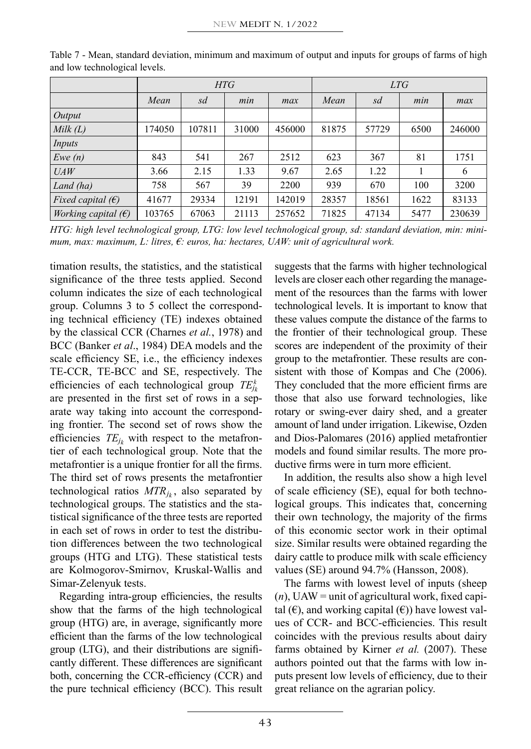|                              | <b>HTG</b> |        |       | LTG    |       |       |      |        |
|------------------------------|------------|--------|-------|--------|-------|-------|------|--------|
|                              | Mean       | sd     | min   | max    | Mean  | sd    | min  | max    |
| Output                       |            |        |       |        |       |       |      |        |
| Milk(L)                      | 174050     | 107811 | 31000 | 456000 | 81875 | 57729 | 6500 | 246000 |
| Inputs                       |            |        |       |        |       |       |      |        |
| Ewe(n)                       | 843        | 541    | 267   | 2512   | 623   | 367   | 81   | 1751   |
| UAW                          | 3.66       | 2.15   | 1.33  | 9.67   | 2.65  | 1.22  |      | 6      |
| Land (ha)                    | 758        | 567    | 39    | 2200   | 939   | 670   | 100  | 3200   |
| Fixed capital $(\epsilon)$   | 41677      | 29334  | 12191 | 142019 | 28357 | 18561 | 1622 | 83133  |
| <i>Working capital</i> $(E)$ | 103765     | 67063  | 21113 | 257652 | 71825 | 47134 | 5477 | 230639 |

Table 7 - Mean, standard deviation, minimum and maximum of output and inputs for groups of farms of high and low technological levels.

*HTG: high level technological group, LTG: low level technological group, sd: standard deviation, min: minimum, max: maximum, L: litres, €: euros, ha: hectares, UAW: unit of agricultural work.*

timation results, the statistics, and the statistical significance of the three tests applied. Second column indicates the size of each technological group. Columns 3 to 5 collect the corresponding technical efficiency (TE) indexes obtained by the classical CCR (Charnes *et al.*, 1978) and BCC (Banker *et al*., 1984) DEA models and the scale efficiency SE, i.e., the efficiency indexes TE-CCR, TE-BCC and SE, respectively. The efficiencies of each technological group *TE<sup>k</sup> jk* are presented in the first set of rows in a separate way taking into account the corresponding frontier. The second set of rows show the efficiencies  $TE_{ik}$  with respect to the metafrontier of each technological group. Note that the metafrontier is a unique frontier for all the firms. The third set of rows presents the metafrontier technological ratios  $MTR_{i_k}$ , also separated by technological groups. The statistics and the statistical significance of the three tests are reported in each set of rows in order to test the distribution differences between the two technological groups (HTG and LTG). These statistical tests are Kolmogorov-Smirnov, Kruskal-Wallis and Simar-Zelenyuk tests.

Regarding intra-group efficiencies, the results show that the farms of the high technological group (HTG) are, in average, significantly more efficient than the farms of the low technological group (LTG), and their distributions are significantly different. These differences are significant both, concerning the CCR-efficiency (CCR) and the pure technical efficiency (BCC). This result suggests that the farms with higher technological levels are closer each other regarding the management of the resources than the farms with lower technological levels. It is important to know that these values compute the distance of the farms to the frontier of their technological group. These scores are independent of the proximity of their group to the metafrontier. These results are consistent with those of Kompas and Che (2006). They concluded that the more efficient firms are those that also use forward technologies, like rotary or swing-ever dairy shed, and a greater amount of land under irrigation. Likewise, Ozden and Dios-Palomares (2016) applied metafrontier models and found similar results. The more productive firms were in turn more efficient.

In addition, the results also show a high level of scale efficiency (SE), equal for both technological groups. This indicates that, concerning their own technology, the majority of the firms of this economic sector work in their optimal size. Similar results were obtained regarding the dairy cattle to produce milk with scale efficiency values (SE) around 94.7% (Hansson, 2008).

The farms with lowest level of inputs (sheep  $(n)$ , UAW = unit of agricultural work, fixed capital  $(\epsilon)$ , and working capital  $(\epsilon)$ ) have lowest values of CCR- and BCC-efficiencies. This result coincides with the previous results about dairy farms obtained by Kirner *et al.* (2007). These authors pointed out that the farms with low inputs present low levels of efficiency, due to their great reliance on the agrarian policy.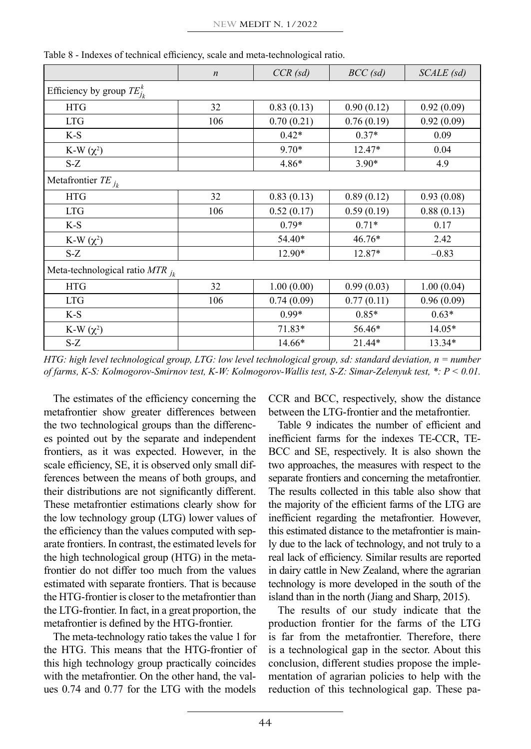|                                     | $\boldsymbol{n}$ | $CCR$ (sd) | $BCC$ (sd) | SCALE (sd) |
|-------------------------------------|------------------|------------|------------|------------|
| Efficiency by group $TE_{j_k}^k$    |                  |            |            |            |
| <b>HTG</b>                          | 32               | 0.83(0.13) | 0.90(0.12) | 0.92(0.09) |
| <b>LTG</b>                          | 106              | 0.70(0.21) | 0.76(0.19) | 0.92(0.09) |
| $K-S$                               |                  | $0.42*$    | $0.37*$    | 0.09       |
| K-W $(\chi^2)$                      |                  | $9.70*$    | 12.47*     | 0.04       |
| $S-Z$                               |                  | $4.86*$    | $3.90*$    | 4.9        |
| Metafrontier $TE_{j_k}$             |                  |            |            |            |
| <b>HTG</b>                          | 32               | 0.83(0.13) | 0.89(0.12) | 0.93(0.08) |
| <b>LTG</b>                          | 106              | 0.52(0.17) | 0.59(0.19) | 0.88(0.13) |
| $K-S$                               |                  | $0.79*$    | $0.71*$    | 0.17       |
| K-W $(\chi^2)$                      |                  | 54.40*     | 46.76*     | 2.42       |
| $S-Z$                               |                  | 12.90*     | 12.87*     | $-0.83$    |
| Meta-technological ratio $MTR_{jk}$ |                  |            |            |            |
| <b>HTG</b>                          | 32               | 1.00(0.00) | 0.99(0.03) | 1.00(0.04) |
| <b>LTG</b>                          | 106              | 0.74(0.09) | 0.77(0.11) | 0.96(0.09) |
| $K-S$                               |                  | $0.99*$    | $0.85*$    | $0.63*$    |
| K-W $(\chi^2)$                      |                  | $71.83*$   | 56.46*     | $14.05*$   |
| S-Z                                 |                  | 14.66*     | 21.44*     | 13.34*     |

Table 8 - Indexes of technical efficiency, scale and meta-technological ratio.

*HTG: high level technological group, LTG: low level technological group, sd: standard deviation, n = number of farms, K-S: Kolmogorov-Smirnov test, K-W: Kolmogorov-Wallis test, S-Z: Simar-Zelenyuk test, \*: P < 0.01.*

The estimates of the efficiency concerning the metafrontier show greater differences between the two technological groups than the differences pointed out by the separate and independent frontiers, as it was expected. However, in the scale efficiency, SE, it is observed only small differences between the means of both groups, and their distributions are not significantly different. These metafrontier estimations clearly show for the low technology group (LTG) lower values of the efficiency than the values computed with separate frontiers. In contrast, the estimated levels for the high technological group (HTG) in the metafrontier do not differ too much from the values estimated with separate frontiers. That is because the HTG-frontier is closer to the metafrontier than the LTG-frontier. In fact, in a great proportion, the metafrontier is defined by the HTG-frontier.

The meta-technology ratio takes the value 1 for the HTG. This means that the HTG-frontier of this high technology group practically coincides with the metafrontier. On the other hand, the values 0.74 and 0.77 for the LTG with the models CCR and BCC, respectively, show the distance between the LTG-frontier and the metafrontier.

Table 9 indicates the number of efficient and inefficient farms for the indexes TE-CCR, TE-BCC and SE, respectively. It is also shown the two approaches, the measures with respect to the separate frontiers and concerning the metafrontier. The results collected in this table also show that the majority of the efficient farms of the LTG are inefficient regarding the metafrontier. However, this estimated distance to the metafrontier is mainly due to the lack of technology, and not truly to a real lack of efficiency. Similar results are reported in dairy cattle in New Zealand, where the agrarian technology is more developed in the south of the island than in the north (Jiang and Sharp, 2015).

The results of our study indicate that the production frontier for the farms of the LTG is far from the metafrontier. Therefore, there is a technological gap in the sector. About this conclusion, different studies propose the implementation of agrarian policies to help with the reduction of this technological gap. These pa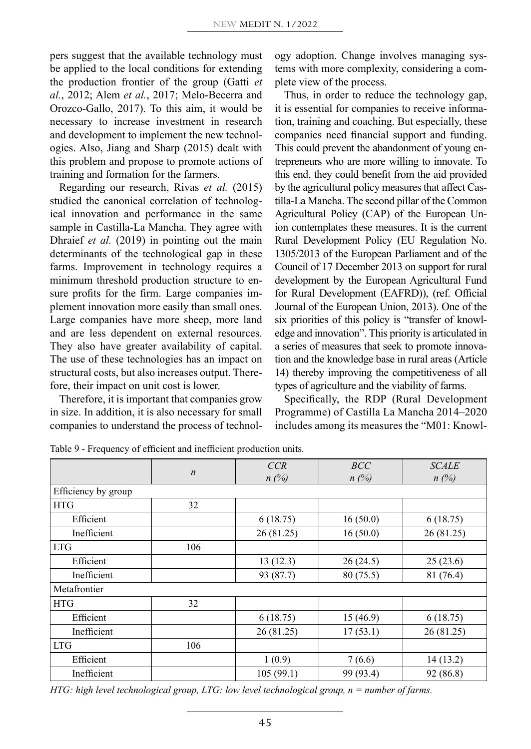pers suggest that the available technology must be applied to the local conditions for extending the production frontier of the group (Gatti *et al.*, 2012; Alem *et al.*, 2017; Melo-Becerra and Orozco-Gallo, 2017). To this aim, it would be necessary to increase investment in research and development to implement the new technologies. Also, Jiang and Sharp (2015) dealt with this problem and propose to promote actions of training and formation for the farmers.

Regarding our research, Rivas *et al.* (2015) studied the canonical correlation of technological innovation and performance in the same sample in Castilla-La Mancha. They agree with Dhraief *et al.* (2019) in pointing out the main determinants of the technological gap in these farms. Improvement in technology requires a minimum threshold production structure to ensure profits for the firm. Large companies implement innovation more easily than small ones. Large companies have more sheep, more land and are less dependent on external resources. They also have greater availability of capital. The use of these technologies has an impact on structural costs, but also increases output. Therefore, their impact on unit cost is lower.

Therefore, it is important that companies grow in size. In addition, it is also necessary for small companies to understand the process of technology adoption. Change involves managing systems with more complexity, considering a complete view of the process.

Thus, in order to reduce the technology gap, it is essential for companies to receive information, training and coaching. But especially, these companies need financial support and funding. This could prevent the abandonment of young entrepreneurs who are more willing to innovate. To this end, they could benefit from the aid provided by the agricultural policy measures that affect Castilla-La Mancha. The second pillar of the Common Agricultural Policy (CAP) of the European Union contemplates these measures. It is the current Rural Development Policy (EU Regulation No. 1305/2013 of the European Parliament and of the Council of 17 December 2013 on support for rural development by the European Agricultural Fund for Rural Development (EAFRD)), (ref. Official Journal of the European Union, 2013). One of the six priorities of this policy is "transfer of knowledge and innovation". This priority is articulated in a series of measures that seek to promote innovation and the knowledge base in rural areas (Article 14) thereby improving the competitiveness of all types of agriculture and the viability of farms.

Specifically, the RDP (Rural Development Programme) of Castilla La Mancha 2014–2020 includes among its measures the "M01: Knowl-

|                     |                  | CCR        | BCC       | <b>SCALE</b> |
|---------------------|------------------|------------|-----------|--------------|
|                     | $\boldsymbol{n}$ | n(%)       | n(%)      | n(%)         |
| Efficiency by group |                  |            |           |              |
| <b>HTG</b>          | 32               |            |           |              |
| Efficient           |                  | 6(18.75)   | 16(50.0)  | 6(18.75)     |
| Inefficient         |                  | 26 (81.25) | 16(50.0)  | 26(81.25)    |
| <b>LTG</b>          | 106              |            |           |              |
| Efficient           |                  | 13(12.3)   | 26(24.5)  | 25(23.6)     |
| Inefficient         |                  | 93 (87.7)  | 80(75.5)  | 81 (76.4)    |
| Metafrontier        |                  |            |           |              |
| <b>HTG</b>          | 32               |            |           |              |
| Efficient           |                  | 6(18.75)   | 15(46.9)  | 6(18.75)     |
| Inefficient         |                  | 26 (81.25) | 17(53.1)  | 26 (81.25)   |
| <b>LTG</b>          | 106              |            |           |              |
| Efficient           |                  | 1(0.9)     | 7(6.6)    | 14(13.2)     |
| Inefficient         |                  | 105(99.1)  | 99 (93.4) | 92 (86.8)    |

Table 9 - Frequency of efficient and inefficient production units.

*HTG: high level technological group, LTG: low level technological group, n = number of farms.*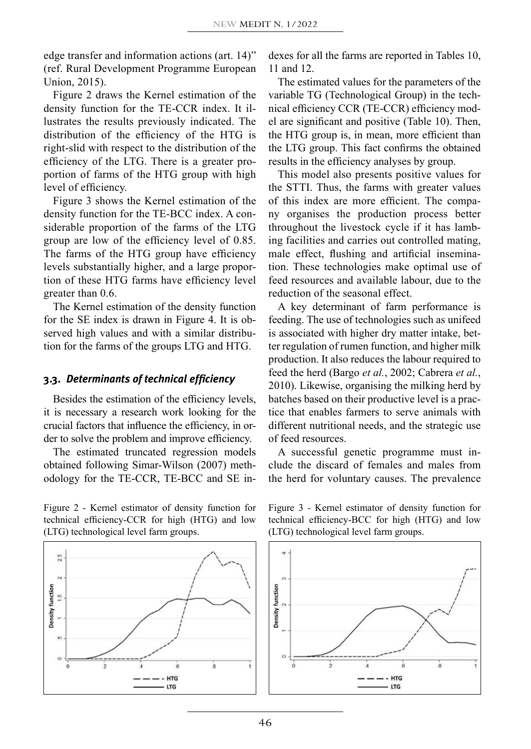edge transfer and information actions (art. 14)" (ref. Rural Development Programme European Union, 2015).

Figure 2 draws the Kernel estimation of the density function for the TE-CCR index. It illustrates the results previously indicated. The distribution of the efficiency of the HTG is right-slid with respect to the distribution of the efficiency of the LTG. There is a greater proportion of farms of the HTG group with high level of efficiency.

Figure 3 shows the Kernel estimation of the density function for the TE-BCC index. A considerable proportion of the farms of the LTG group are low of the efficiency level of 0.85. The farms of the HTG group have efficiency levels substantially higher, and a large proportion of these HTG farms have efficiency level greater than 0.6.

The Kernel estimation of the density function for the SE index is drawn in Figure 4. It is observed high values and with a similar distribution for the farms of the groups LTG and HTG.

#### **3.3.** *Determinants of technical efficiency*

Besides the estimation of the efficiency levels, it is necessary a research work looking for the crucial factors that influence the efficiency, in order to solve the problem and improve efficiency.

The estimated truncated regression models obtained following Simar-Wilson (2007) methodology for the TE-CCR, TE-BCC and SE in-

Figure 2 - Kernel estimator of density function for technical efficiency-CCR for high (HTG) and low (LTG) technological level farm groups.



dexes for all the farms are reported in Tables 10, 11 and 12.

The estimated values for the parameters of the variable TG (Technological Group) in the technical efficiency CCR (TE-CCR) efficiency model are significant and positive (Table 10). Then, the HTG group is, in mean, more efficient than the LTG group. This fact confirms the obtained results in the efficiency analyses by group.

This model also presents positive values for the STTI. Thus, the farms with greater values of this index are more efficient. The company organises the production process better throughout the livestock cycle if it has lambing facilities and carries out controlled mating, male effect, flushing and artificial insemination. These technologies make optimal use of feed resources and available labour, due to the reduction of the seasonal effect.

A key determinant of farm performance is feeding. The use of technologies such as unifeed is associated with higher dry matter intake, better regulation of rumen function, and higher milk production. It also reduces the labour required to feed the herd (Bargo *et al.*, 2002; Cabrera *et al.*, 2010). Likewise, organising the milking herd by batches based on their productive level is a practice that enables farmers to serve animals with different nutritional needs, and the strategic use of feed resources.

A successful genetic programme must include the discard of females and males from the herd for voluntary causes. The prevalence

Figure 3 - Kernel estimator of density function for technical efficiency-BCC for high (HTG) and low (LTG) technological level farm groups.

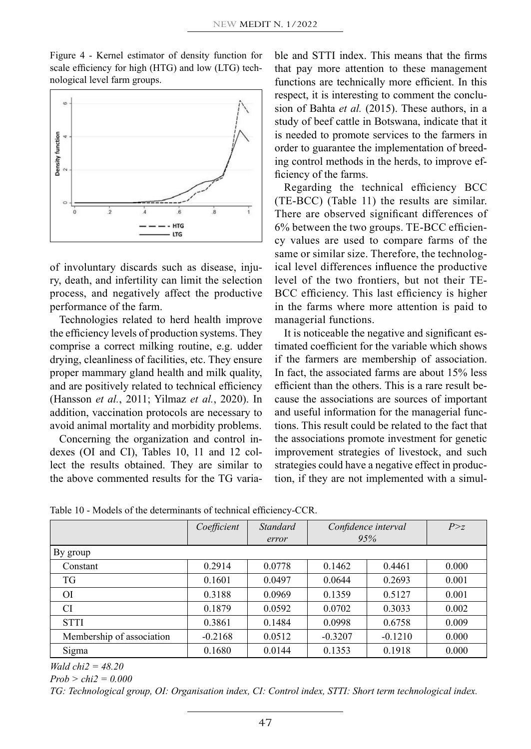Figure 4 - Kernel estimator of density function for scale efficiency for high (HTG) and low (LTG) technological level farm groups.



of involuntary discards such as disease, injury, death, and infertility can limit the selection process, and negatively affect the productive performance of the farm.

Technologies related to herd health improve the efficiency levels of production systems. They comprise a correct milking routine, e.g. udder drying, cleanliness of facilities, etc. They ensure proper mammary gland health and milk quality, and are positively related to technical efficiency (Hansson *et al.*, 2011; Yilmaz *et al.*, 2020). In addition, vaccination protocols are necessary to avoid animal mortality and morbidity problems.

Concerning the organization and control indexes (OI and CI), Tables 10, 11 and 12 collect the results obtained. They are similar to the above commented results for the TG variable and STTI index. This means that the firms that pay more attention to these management functions are technically more efficient. In this respect, it is interesting to comment the conclusion of Bahta *et al.* (2015). These authors, in a study of beef cattle in Botswana, indicate that it is needed to promote services to the farmers in order to guarantee the implementation of breeding control methods in the herds, to improve efficiency of the farms.

Regarding the technical efficiency BCC (TE-BCC) (Table 11) the results are similar. There are observed significant differences of 6% between the two groups. TE-BCC efficiency values are used to compare farms of the same or similar size. Therefore, the technological level differences influence the productive level of the two frontiers, but not their TE-BCC efficiency. This last efficiency is higher in the farms where more attention is paid to managerial functions.

It is noticeable the negative and significant estimated coefficient for the variable which shows if the farmers are membership of association. In fact, the associated farms are about 15% less efficient than the others. This is a rare result because the associations are sources of important and useful information for the managerial functions. This result could be related to the fact that the associations promote investment for genetic improvement strategies of livestock, and such strategies could have a negative effect in production, if they are not implemented with a simul-

|  |  |  |  | Table 10 - Models of the determinants of technical efficiency-CCR. |  |  |  |
|--|--|--|--|--------------------------------------------------------------------|--|--|--|
|--|--|--|--|--------------------------------------------------------------------|--|--|--|

|                           | Coefficient | <b>Standard</b> | Confidence interval |           | P > z |
|---------------------------|-------------|-----------------|---------------------|-----------|-------|
|                           |             | error           |                     | 95%       |       |
| By group                  |             |                 |                     |           |       |
| Constant                  | 0.2914      | 0.0778          | 0.1462              | 0.4461    | 0.000 |
| TG                        | 0.1601      | 0.0497          | 0.0644              | 0.2693    | 0.001 |
| <sup>OI</sup>             | 0.3188      | 0.0969          | 0.1359              | 0.5127    | 0.001 |
| <b>CI</b>                 | 0.1879      | 0.0592          | 0.0702              | 0.3033    | 0.002 |
| <b>STTI</b>               | 0.3861      | 0.1484          | 0.0998              | 0.6758    | 0.009 |
| Membership of association | $-0.2168$   | 0.0512          | $-0.3207$           | $-0.1210$ | 0.000 |
| Sigma                     | 0.1680      | 0.0144          | 0.1353              | 0.1918    | 0.000 |

*Wald chi2 = 48.20*

*Prob > chi2 = 0.000*

*TG: Technological group, OI: Organisation index, CI: Control index, STTI: Short term technological index.*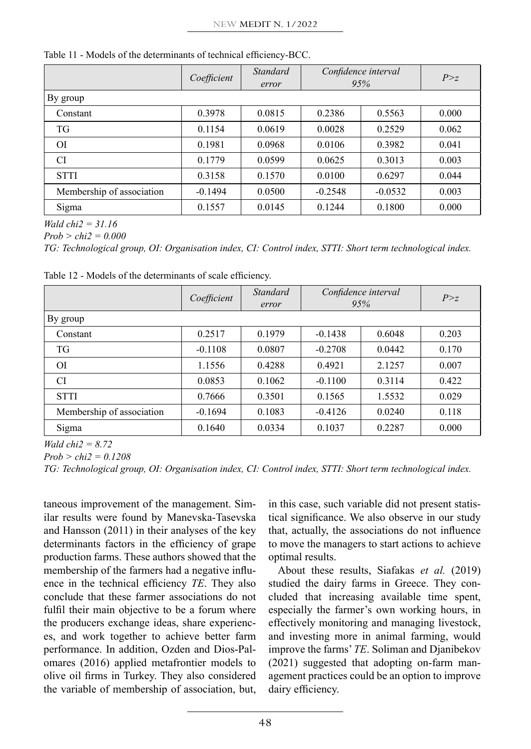|                           | Coefficient | <b>Standard</b><br>error | Confidence interval<br>95% |           | P > z |
|---------------------------|-------------|--------------------------|----------------------------|-----------|-------|
| By group                  |             |                          |                            |           |       |
| Constant                  | 0.3978      | 0.0815                   | 0.2386                     | 0.5563    | 0.000 |
| <b>TG</b>                 | 0.1154      | 0.0619                   | 0.0028                     | 0.2529    | 0.062 |
| O <sub>I</sub>            | 0.1981      | 0.0968                   | 0.0106                     | 0.3982    | 0.041 |
| CI                        | 0.1779      | 0.0599                   | 0.0625                     | 0.3013    | 0.003 |
| <b>STTI</b>               | 0.3158      | 0.1570                   | 0.0100                     | 0.6297    | 0.044 |
| Membership of association | $-0.1494$   | 0.0500                   | $-0.2548$                  | $-0.0532$ | 0.003 |
| Sigma                     | 0.1557      | 0.0145                   | 0.1244                     | 0.1800    | 0.000 |

Table 11 - Models of the determinants of technical efficiency-BCC.

*Wald chi2 = 31.16*

*Prob > chi2 = 0.000*

*TG: Technological group, OI: Organisation index, CI: Control index, STTI: Short term technological index.*

|                           | Coefficient | Standard<br>error | Confidence interval<br>95% |        | P > z |
|---------------------------|-------------|-------------------|----------------------------|--------|-------|
| By group                  |             |                   |                            |        |       |
| Constant                  | 0.2517      | 0.1979            | $-0.1438$                  | 0.6048 | 0.203 |
| TG                        | $-0.1108$   | 0.0807            | $-0.2708$                  | 0.0442 | 0.170 |
| <b>OI</b>                 | 1.1556      | 0.4288            | 0.4921                     | 2.1257 | 0.007 |
| <b>CI</b>                 | 0.0853      | 0.1062            | $-0.1100$                  | 0.3114 | 0.422 |
| <b>STTI</b>               | 0.7666      | 0.3501            | 0.1565                     | 1.5532 | 0.029 |
| Membership of association | $-0.1694$   | 0.1083            | $-0.4126$                  | 0.0240 | 0.118 |
| Sigma                     | 0.1640      | 0.0334            | 0.1037                     | 0.2287 | 0.000 |

Table 12 - Models of the determinants of scale efficiency.

*Wald chi2 = 8.72*

*Prob > chi2 = 0.1208*

*TG: Technological group, OI: Organisation index, CI: Control index, STTI: Short term technological index.*

taneous improvement of the management. Similar results were found by Manevska-Tasevska and Hansson (2011) in their analyses of the key determinants factors in the efficiency of grape production farms. These authors showed that the membership of the farmers had a negative influence in the technical efficiency *TE*. They also conclude that these farmer associations do not fulfil their main objective to be a forum where the producers exchange ideas, share experiences, and work together to achieve better farm performance. In addition, Ozden and Dios-Palomares (2016) applied metafrontier models to olive oil firms in Turkey. They also considered the variable of membership of association, but,

in this case, such variable did not present statistical significance. We also observe in our study that, actually, the associations do not influence to move the managers to start actions to achieve optimal results.

About these results, Siafakas *et al.* (2019) studied the dairy farms in Greece. They concluded that increasing available time spent, especially the farmer's own working hours, in effectively monitoring and managing livestock, and investing more in animal farming, would improve the farms' *TE*. Soliman and Djanibekov (2021) suggested that adopting on-farm management practices could be an option to improve dairy efficiency.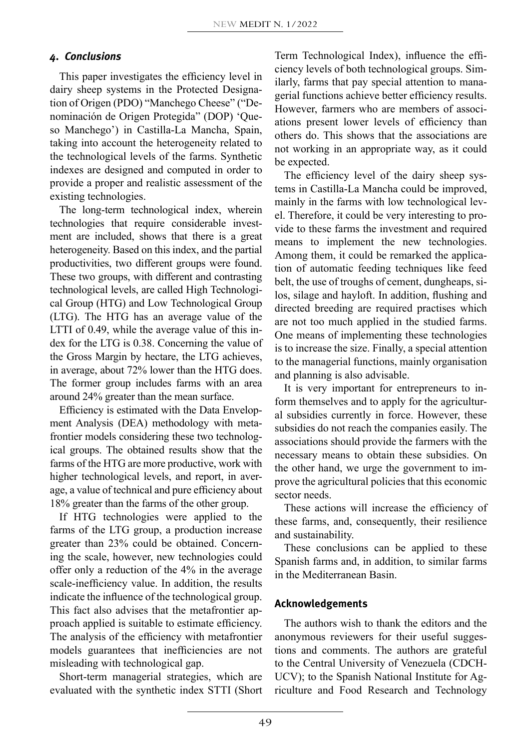#### *4. Conclusions*

This paper investigates the efficiency level in dairy sheep systems in the Protected Designation of Origen (PDO) "Manchego Cheese" ("Denominación de Origen Protegida" (DOP) 'Queso Manchego') in Castilla-La Mancha, Spain, taking into account the heterogeneity related to the technological levels of the farms. Synthetic indexes are designed and computed in order to provide a proper and realistic assessment of the existing technologies.

The long-term technological index, wherein technologies that require considerable investment are included, shows that there is a great heterogeneity. Based on this index, and the partial productivities, two different groups were found. These two groups, with different and contrasting technological levels, are called High Technological Group (HTG) and Low Technological Group (LTG). The HTG has an average value of the LTTI of 0.49, while the average value of this index for the LTG is 0.38. Concerning the value of the Gross Margin by hectare, the LTG achieves, in average, about 72% lower than the HTG does. The former group includes farms with an area around 24% greater than the mean surface.

Efficiency is estimated with the Data Envelopment Analysis (DEA) methodology with metafrontier models considering these two technological groups. The obtained results show that the farms of the HTG are more productive, work with higher technological levels, and report, in average, a value of technical and pure efficiency about 18% greater than the farms of the other group.

If HTG technologies were applied to the farms of the LTG group, a production increase greater than 23% could be obtained. Concerning the scale, however, new technologies could offer only a reduction of the 4% in the average scale-inefficiency value. In addition, the results indicate the influence of the technological group. This fact also advises that the metafrontier approach applied is suitable to estimate efficiency. The analysis of the efficiency with metafrontier models guarantees that inefficiencies are not misleading with technological gap.

Short-term managerial strategies, which are evaluated with the synthetic index STTI (Short Term Technological Index), influence the efficiency levels of both technological groups. Similarly, farms that pay special attention to managerial functions achieve better efficiency results. However, farmers who are members of associations present lower levels of efficiency than others do. This shows that the associations are not working in an appropriate way, as it could be expected.

The efficiency level of the dairy sheep systems in Castilla-La Mancha could be improved, mainly in the farms with low technological level. Therefore, it could be very interesting to provide to these farms the investment and required means to implement the new technologies. Among them, it could be remarked the application of automatic feeding techniques like feed belt, the use of troughs of cement, dungheaps, silos, silage and hayloft. In addition, flushing and directed breeding are required practises which are not too much applied in the studied farms. One means of implementing these technologies is to increase the size. Finally, a special attention to the managerial functions, mainly organisation and planning is also advisable.

It is very important for entrepreneurs to inform themselves and to apply for the agricultural subsidies currently in force. However, these subsidies do not reach the companies easily. The associations should provide the farmers with the necessary means to obtain these subsidies. On the other hand, we urge the government to improve the agricultural policies that this economic sector needs.

These actions will increase the efficiency of these farms, and, consequently, their resilience and sustainability.

These conclusions can be applied to these Spanish farms and, in addition, to similar farms in the Mediterranean Basin.

#### **Acknowledgements**

The authors wish to thank the editors and the anonymous reviewers for their useful suggestions and comments. The authors are grateful to the Central University of Venezuela (CDCH-UCV); to the Spanish National Institute for Agriculture and Food Research and Technology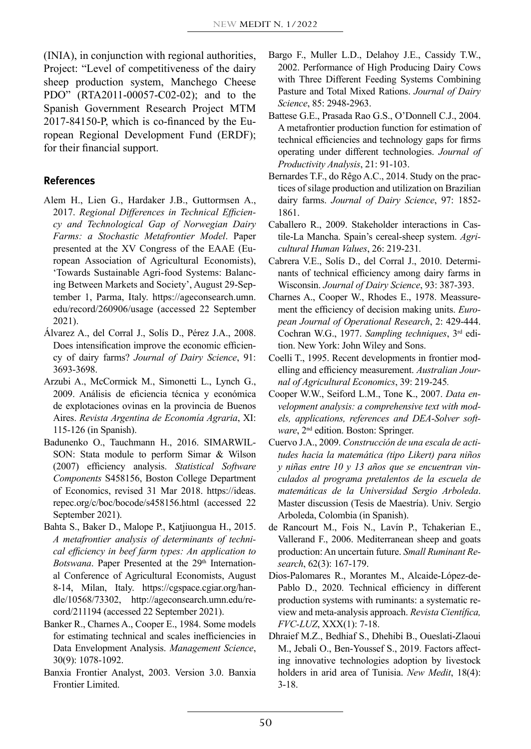(INIA), in conjunction with regional authorities, Project: "Level of competitiveness of the dairy sheep production system, Manchego Cheese PDO" (RTA2011-00057-C02-02); and to the Spanish Government Research Project MTM 2017-84150-P, which is co-financed by the European Regional Development Fund (ERDF); for their financial support.

#### **References**

- Alem H., Lien G., Hardaker J.B., Guttormsen A., 2017. *Regional Differences in Technical Efficiency and Technological Gap of Norwegian Dairy Farms: a Stochastic Metafrontier Model*. Paper presented at the XV Congress of the EAAE (European Association of Agricultural Economists), 'Towards Sustainable Agri-food Systems: Balancing Between Markets and Society', August 29-September 1, Parma, Italy. https://ageconsearch.umn. edu/record/260906/usage (accessed 22 September 2021).
- Álvarez A., del Corral J., Solís D., Pérez J.A., 2008. Does intensification improve the economic efficiency of dairy farms? *Journal of Dairy Science*, 91: 3693-3698.
- Arzubi A., McCormick M., Simonetti L., Lynch G., 2009. Análisis de eficiencia técnica y económica de explotaciones ovinas en la provincia de Buenos Aires. *Revista Argentina de Economía Agraria*, XI: 115-126 (in Spanish).
- Badunenko O., Tauchmann H., 2016. [SIMARWIL-](https://ideas.repec.org/c/boc/bocode/s458156.html)[SON: Stata module to perform Simar & Wilson](https://ideas.repec.org/c/boc/bocode/s458156.html) [\(2007\) efficiency analysis](https://ideas.repec.org/c/boc/bocode/s458156.html). *[Statistical Software](https://ideas.repec.org/s/boc/bocode.html) [Components](https://ideas.repec.org/s/boc/bocode.html)* S458156, Boston College Department of Economics, revised 31 Mar 2018. https://ideas. repec.org/c/boc/bocode/s458156.html (accessed 22 September 2021).
- Bahta S., Baker D., Malope P., Katjiuongua H., 2015. *A metafrontier analysis of determinants of technical efficiency in beef farm types: An application to*  Botswana. Paper Presented at the 29<sup>th</sup> International Conference of Agricultural Economists, August 8-14, Milan, Italy. [https://cgspace.cgiar.org/han](https://cgspace.cgiar.org/handle/10568/73302)[dle/10568/73302,](https://cgspace.cgiar.org/handle/10568/73302) [http://ageconsearch.umn.edu/re](http://ageconsearch.umn.edu/record/211194)[cord/211194](http://ageconsearch.umn.edu/record/211194) (accessed 22 September 2021).
- Banker R., Charnes A., Cooper E., 1984. Some models for estimating technical and scales inefficiencies in Data Envelopment Analysis. *Management Science*, 30(9): 1078-1092.
- Banxia Frontier Analyst, 2003. Version 3.0. Banxia Frontier Limited.
- Bargo F., Muller L.D., Delahoy J.E., Cassidy T.W., 2002. Performance of High Producing Dairy Cows with Three Different Feeding Systems Combining Pasture and Total Mixed Rations. *Journal of Dairy Science*, 85: 2948-2963.
- Battese G.E., Prasada Rao G.S., O'Donnell C.J., 2004. A metafrontier production function for estimation of technical efficiencies and technology gaps for firms operating under different technologies. *Journal of Productivity Analysis*, 21: 91-103.
- Bernardes T.F., do Rêgo A.C., 2014. Study on the practices of silage production and utilization on Brazilian dairy farms. *Journal of Dairy Science*, [97](http://www.journalofdairyscience.org/issues?issue_key=S0022-0302(14)X0003-2): 1852- 1861.
- Caballero R., 2009. Stakeholder interactions in Castile-La Mancha. Spain's cereal-sheep system. *Agricultural Human Values*, 26: 219-231*.*
- Cabrera V.E., Solís D., del Corral J., 2010. Determinants of technical efficiency among dairy farms in Wisconsin. *Journal of Dairy Science*, 93: 387-393.
- Charnes A., Cooper W., Rhodes E., 1978. Meassurement the efficiency of decision making units. *European Journal of Operational Research*, 2: 429-444. Cochran W.G., 1977. *Sampling techniques*, 3rd edition. New York: John Wiley and Sons.
- Coelli T., 1995. [Recent developments in frontier mod](http://ideas.repec.org/a/bla/ajarec/v39y1995i3p219-245.html)[elling and efficiency measurement.](http://ideas.repec.org/a/bla/ajarec/v39y1995i3p219-245.html) *[Australian Jour](http://ideas.repec.org/s/bla/ajarec.html)[nal of Agricultural E](http://ideas.repec.org/s/bla/ajarec.html)conomics*, 39: 219-245*.*
- Cooper W.W., Seiford L.M., Tone K., 2007. *Data envelopment analysis: a comprehensive text with models, applications, references and DEA-Solver software*, 2nd edition. Boston: Springer.
- Cuervo J.A., 2009. *Construcción de una escala de actitudes hacia la matemática (tipo Likert) para niños y niñas entre 10 y 13 años que se encuentran vinculados al programa pretalentos de la escuela de matemáticas de la Universidad Sergio Arboleda*. Master discussion (Tesis de Maestría). Univ. Sergio Arboleda, Colombia (in Spanish).
- de Rancourt M., Fois N., Lavín P., Tchakerian E., Vallerand F., 2006. Mediterranean sheep and goats production: An uncertain future. *Small Ruminant Research*, 62(3): 167-179.
- Dios-Palomares R., Morantes M., Alcaide-López-de-Pablo D., 2020. Technical efficiency in different production systems with ruminants: a systematic review and meta-analysis approach. *Revista Científica, FVC-LUZ*, XXX(1): 7-18.
- Dhraief M.Z., Bedhiaf S., Dhehibi B., Oueslati-Zlaoui M., Jebali O., Ben-Youssef S., 2019. Factors affecting innovative technologies adoption by livestock holders in arid area of Tunisia. *New Medit*, 18(4): 3-18.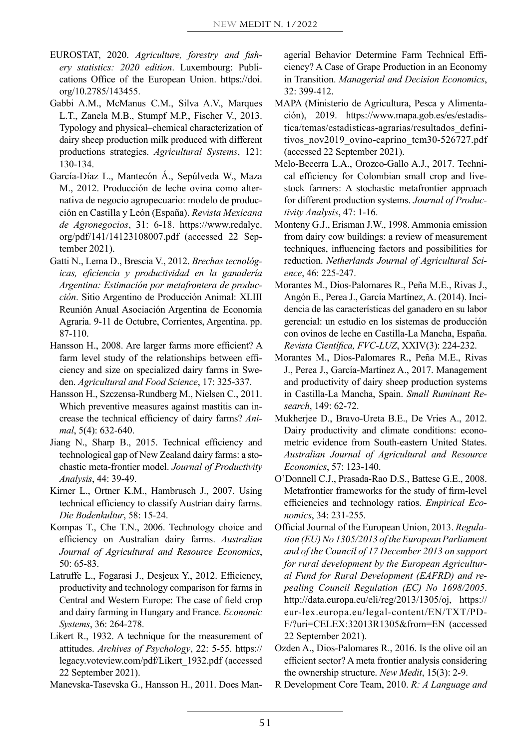- EUROSTAT, 2020. *Agriculture, forestry and fishery statistics: 2020 edition*. Luxembourg: Publications Office of the European Union. [https://doi.](https://doi.org/10.2785/143455) [org/10.2785/143455](https://doi.org/10.2785/143455).
- Gabbi A.M., McManus C.M., Silva A.V., Marques L.T., Zanela M.B., Stumpf M.P., Fischer V., 2013. Typology and physical–chemical characterization of dairy sheep production milk produced with different productions strategies. *Agricultural Systems*, 121: 130-134.
- García-Díaz L., Mantecón Á., Sepúlveda W., Maza M., 2012. Producción de leche ovina como alternativa de negocio agropecuario: modelo de producción en Castilla y León (España). *Revista Mexicana de Agronegocios*, 31: 6-18. [https://www.redalyc.](https://www.redalyc.org/pdf/141/14123108007.pdf) [org/pdf/141/14123108007.pdf](https://www.redalyc.org/pdf/141/14123108007.pdf) (accessed 22 September 2021).
- Gatti N., Lema D., Brescia V., 2012. *Brechas tecnológicas, eficiencia y productividad en la ganadería Argentina: Estimación por metafrontera de producción*. Sitio Argentino de Producción Animal: XLIII Reunión Anual Asociación Argentina de Economía Agraria. 9-11 de Octubre, Corrientes, Argentina. pp. 87-110.
- Hansson H., 2008. Are larger farms more efficient? A farm level study of the relationships between efficiency and size on specialized dairy farms in Sweden. *Agricultural and Food Science*, 17: 325-337.
- Hansson H., Szczensa-Rundberg M., Nielsen C., 2011. Which preventive measures against mastitis can increase the technical efficiency of dairy farms? *Animal*, 5(4): 632-640.
- Jiang N., Sharp B., 2015. Technical efficiency and technological gap of New Zealand dairy farms: a stochastic meta-frontier model. *Journal of Productivity Analysis*, 44: 39-49.
- Kirner L., Ortner K.M., Hambrusch J., 2007. Using technical efficiency to classify Austrian dairy farms. *Die Bodenkultur*, 58: 15-24.
- Kompas T., Che T.N., 2006. Technology choice and efficiency on Australian dairy farms. *Australian Journal of Agricultural and Resource Economics*, 50: 65-83.
- Latruffe L., Fogarasi J., Desjeux Y., 2012. Efficiency, productivity and technology comparison for farms in Central and Western Europe: The case of field crop and dairy farming in Hungary and France. *Economic Systems*, 36: 264-278.
- Likert R., 1932. A technique for the measurement of attitudes. *Archives of Psychology*, 22: 5-55. [https://](https://legacy.voteview.com/pdf/Likert_1932.pdf) [legacy.voteview.com/pdf/Likert\\_1932.pdf](https://legacy.voteview.com/pdf/Likert_1932.pdf) (accessed 22 September 2021).
- Manevska-Tasevska G., Hansson H., 2011. Does Man-

agerial Behavior Determine Farm Technical Efficiency? A Case of Grape Production in an Economy in Transition. *Managerial and Decision Economics*, 32: 399-412.

- MAPA (Ministerio de Agricultura, Pesca y Alimentación), 2019. [https://www.mapa.gob.es/es/estadis](https://www.mapa.gob.es/es/estadistica/temas/estadisticas-agrarias/resultados_definitivos_nov2019_ovino-caprino_tcm30-526727.pdf)[tica/temas/estadisticas-agrarias/resultados\\_defini](https://www.mapa.gob.es/es/estadistica/temas/estadisticas-agrarias/resultados_definitivos_nov2019_ovino-caprino_tcm30-526727.pdf)tivos nov2019 ovino-caprino tcm30-526727.pdf (accessed 22 September 2021).
- Melo-Becerra L.A., Orozco-Gallo A.J., 2017. Technical efficiency for Colombian small crop and livestock farmers: A stochastic metafrontier approach for different production systems. *Journal of Productivity Analysis*, 47: 1-16.
- Monteny G.J., Erisman J.W., 1998. Ammonia emission from dairy cow buildings: a review of measurement techniques, influencing factors and possibilities for reduction. *Netherlands Journal of Agricultural Science*, 46: 225-247.
- Morantes M., Dios-Palomares R., Peña M.E., Rivas J., Angón E., Perea J., García Martínez, A. (2014). Incidencia de las características del ganadero en su labor gerencial: un estudio en los sistemas de producción con ovinos de leche en Castilla-La Mancha, España. *Revista Científica, FVC-LUZ*, XXIV(3): 224-232.
- Morantes M., Dios-Palomares R., Peña M.E., Rivas J., Perea J., García-Martínez A., 2017. Management and productivity of dairy sheep production systems in Castilla-La Mancha, Spain. *Small Ruminant Research*, 149: 62-72.
- Mukherjee D., Bravo-Ureta B.E., De Vries A., 2012. Dairy productivity and climate conditions: econometric evidence from South-eastern United States. *Australian Journal of Agricultural and Resource Economics*, 57: 123-140.
- O'Donnell C.J., Prasada-Rao D.S., Battese G.E., 2008. Metafrontier frameworks for the study of firm-level efficiencies and technology ratios. *Empirical Economics*, 34: 231-255.
- Official Journal of the European Union, 2013. *Regulation (EU) No 1305/2013 of the European Parliament and of the Council of 17 December 2013 on support for rural development by the European Agricultural Fund for Rural Development (EAFRD) and repealing Council Regulation (EC) No 1698/2005*. [http://data.europa.eu/eli/reg/2013/1305/oj,](http://data.europa.eu/eli/reg/2013/1305/oj) [https://](https://eur-lex.europa.eu/legal-content/EN/TXT/PDF/?uri=CELEX:32013R1305&from=EN) [eur-lex.europa.eu/legal-content/EN/TXT/PD-](https://eur-lex.europa.eu/legal-content/EN/TXT/PDF/?uri=CELEX:32013R1305&from=EN)[F/?uri=CELEX:32013R1305&from=EN](https://eur-lex.europa.eu/legal-content/EN/TXT/PDF/?uri=CELEX:32013R1305&from=EN) (accessed 22 September 2021).
- Ozden A., Dios-Palomares R., 2016. Is the olive oil an efficient sector? A meta frontier analysis considering the ownership structure. *New Medit*, 15(3): 2-9.
- R Development Core Team, 2010. *R: A Language and*